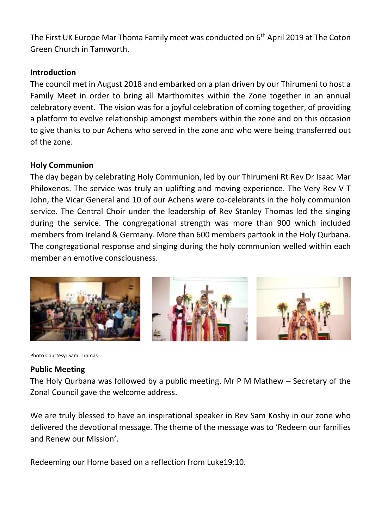The First UK Europe Mar Thoma Family meet was conducted on 6<sup>th</sup> April 2019 at The Coton Green Church in Tamworth.

# **Introduction**

The council met in August 2018 and embarked on a plan driven by our Thirumeni to host a Family Meet in order to bring all Marthomites within the Zone together in an annual celebratory event. The vision was for a joyful celebration of coming together, of providing a platform to evolve relationship amongst members within the zone and on this occasion to give thanks to our Achens who served in the zone and who were being transferred out of the zone.

# **Holy Communion**

The day began by celebrating Holy Communion, led by our Thirumeni Rt Rev Dr Isaac Mar Philoxenos. The service was truly an uplifting and moving experience. The Very Rev V T John, the Vicar General and 10 of our Achens were co-celebrants in the holy communion service. The Central Choir under the leadership of Rev Stanley Thomas led the singing during the service. The congregational strength was more than 900 which included members from Ireland & Germany. More than 600 members partook in the Holy Qurbana. The congregational response and singing during the holy communion welled within each member an emotive consciousness.



Photo Courtesy: Sam Thomas

## **Public Meeting**

The Holy Qurbana was followed by a public meeting. Mr P M Mathew – Secretary of the Zonal Council gave the welcome address.

We are truly blessed to have an inspirational speaker in Rev Sam Koshy in our zone who delivered the devotional message. The theme of the message was to 'Redeem our families and Renew our Mission'.

Redeeming our Home based on a reflection from Luke19:10.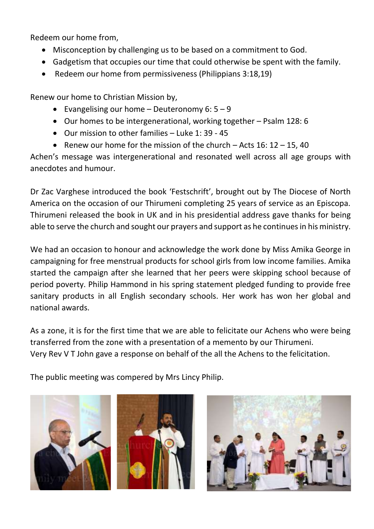Redeem our home from,

- Misconception by challenging us to be based on a commitment to God.
- Gadgetism that occupies our time that could otherwise be spent with the family.
- Redeem our home from permissiveness (Philippians 3:18,19)

Renew our home to Christian Mission by,

- Evangelising our home  $-$  Deuteronomy 6:  $5 9$
- Our homes to be intergenerational, working together Psalm 128: 6
- Our mission to other families Luke 1: 39 45
- Renew our home for the mission of the church  $-$  Acts 16: 12  $-$  15, 40

Achen's message was intergenerational and resonated well across all age groups with anecdotes and humour.

Dr Zac Varghese introduced the book 'Festschrift', brought out by The Diocese of North America on the occasion of our Thirumeni completing 25 years of service as an Episcopa. Thirumeni released the book in UK and in his presidential address gave thanks for being able to serve the church and sought our prayers and support as he continues in his ministry.

We had an occasion to honour and acknowledge the work done by Miss Amika George in campaigning for free menstrual products for school girls from low income families. Amika started the campaign after she learned that her peers were skipping school because of period poverty. Philip Hammond in his spring statement pledged funding to provide free sanitary products in all English secondary schools. Her work has won her global and national awards.

As a zone, it is for the first time that we are able to felicitate our Achens who were being transferred from the zone with a presentation of a memento by our Thirumeni. Very Rev V T John gave a response on behalf of the all the Achens to the felicitation.

The public meeting was compered by Mrs Lincy Philip.





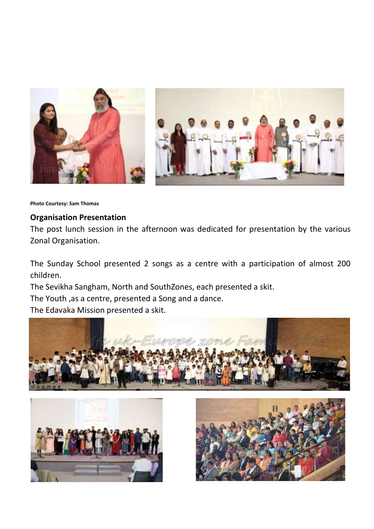

**Photo Courtesy: Sam Thomas**

### **Organisation Presentation**

The post lunch session in the afternoon was dedicated for presentation by the various Zonal Organisation.

The Sunday School presented 2 songs as a centre with a participation of almost 200 children.

The Sevikha Sangham, North and SouthZones, each presented a skit.

The Youth ,as a centre, presented a Song and a dance.

The Edavaka Mission presented a skit.